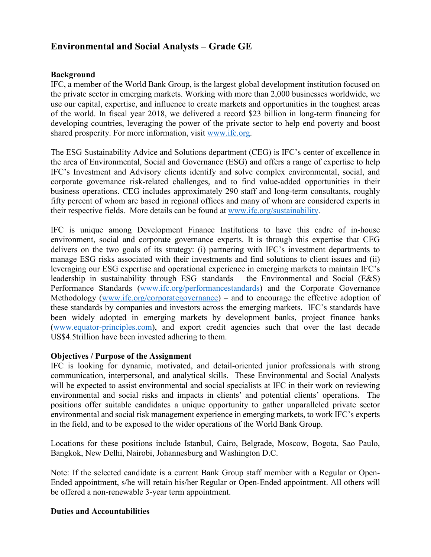# **Environmental and Social Analysts – Grade GE**

### **Background**

IFC, a member of the World Bank Group, is the largest global development institution focused on the private sector in emerging markets. Working with more than 2,000 businesses worldwide, we use our capital, expertise, and influence to create markets and opportunities in the toughest areas of the world. In fiscal year 2018, we delivered a record \$23 billion in long-term financing for developing countries, leveraging the power of the private sector to help end poverty and boost shared prosperity. For more information, visit [www.ifc.org.](http://www.ifc.org/)

The ESG Sustainability Advice and Solutions department (CEG) is IFC's center of excellence in the area of Environmental, Social and Governance (ESG) and offers a range of expertise to help IFC's Investment and Advisory clients identify and solve complex environmental, social, and corporate governance risk-related challenges, and to find value-added opportunities in their business operations. CEG includes approximately 290 staff and long-term consultants, roughly fifty percent of whom are based in regional offices and many of whom are considered experts in their respective fields. More details can be found at [www.ifc.org/sustainability.](http://www.ifc.org/sustainability)

IFC is unique among Development Finance Institutions to have this cadre of in-house environment, social and corporate governance experts. It is through this expertise that CEG delivers on the two goals of its strategy: (i) partnering with IFC's investment departments to manage ESG risks associated with their investments and find solutions to client issues and (ii) leveraging our ESG expertise and operational experience in emerging markets to maintain IFC's leadership in sustainability through ESG standards – the Environmental and Social (E&S) Performance Standards [\(www.ifc.org/performancestandards\)](http://www.ifc.org/performancestandards) and the Corporate Governance Methodology [\(www.ifc.org/corporategovernance\)](http://www.ifc.org/corporategovernance) – and to encourage the effective adoption of these standards by companies and investors across the emerging markets. IFC's standards have been widely adopted in emerging markets by development banks, project finance banks [\(www.equator-principles.com\)](http://www.equator-principles.com/), and export credit agencies such that over the last decade US\$4.5trillion have been invested adhering to them.

#### **Objectives / Purpose of the Assignment**

IFC is looking for dynamic, motivated, and detail-oriented junior professionals with strong communication, interpersonal, and analytical skills. These Environmental and Social Analysts will be expected to assist environmental and social specialists at IFC in their work on reviewing environmental and social risks and impacts in clients' and potential clients' operations. The positions offer suitable candidates a unique opportunity to gather unparalleled private sector environmental and social risk management experience in emerging markets, to work IFC's experts in the field, and to be exposed to the wider operations of the World Bank Group.

Locations for these positions include Istanbul, Cairo, Belgrade, Moscow, Bogota, Sao Paulo, Bangkok, New Delhi, Nairobi, Johannesburg and Washington D.C.

Note: If the selected candidate is a current Bank Group staff member with a Regular or Open-Ended appointment, s/he will retain his/her Regular or Open-Ended appointment. All others will be offered a non-renewable 3-year term appointment.

#### **Duties and Accountabilities**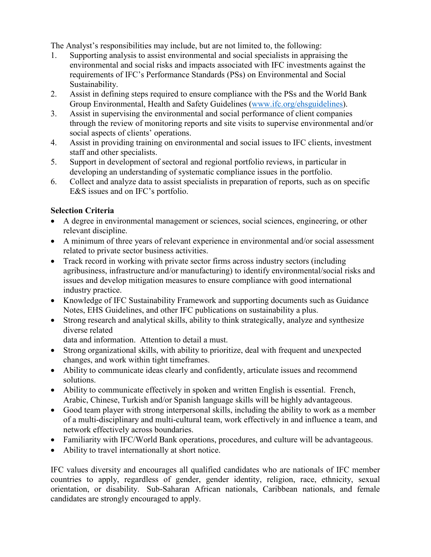The Analyst's responsibilities may include, but are not limited to, the following:

- 1. Supporting analysis to assist environmental and social specialists in appraising the environmental and social risks and impacts associated with IFC investments against the requirements of IFC's Performance Standards (PSs) on Environmental and Social Sustainability.
- 2. Assist in defining steps required to ensure compliance with the PSs and the World Bank Group Environmental, Health and Safety Guidelines [\(www.ifc.org/ehsguidelines\)](http://www.ifc.org/ehsguidelines).
- 3. Assist in supervising the environmental and social performance of client companies through the review of monitoring reports and site visits to supervise environmental and/or social aspects of clients' operations.
- 4. Assist in providing training on environmental and social issues to IFC clients, investment staff and other specialists.
- 5. Support in development of sectoral and regional portfolio reviews, in particular in developing an understanding of systematic compliance issues in the portfolio.
- 6. Collect and analyze data to assist specialists in preparation of reports, such as on specific E&S issues and on IFC's portfolio.

## **Selection Criteria**

- A degree in environmental management or sciences, social sciences, engineering, or other relevant discipline.
- A minimum of three years of relevant experience in environmental and/or social assessment related to private sector business activities.
- Track record in working with private sector firms across industry sectors (including agribusiness, infrastructure and/or manufacturing) to identify environmental/social risks and issues and develop mitigation measures to ensure compliance with good international industry practice.
- Knowledge of IFC Sustainability Framework and supporting documents such as Guidance Notes, EHS Guidelines, and other IFC publications on sustainability a plus.
- Strong research and analytical skills, ability to think strategically, analyze and synthesize diverse related

data and information. Attention to detail a must.

- Strong organizational skills, with ability to prioritize, deal with frequent and unexpected changes, and work within tight timeframes.
- Ability to communicate ideas clearly and confidently, articulate issues and recommend solutions.
- Ability to communicate effectively in spoken and written English is essential. French, Arabic, Chinese, Turkish and/or Spanish language skills will be highly advantageous.
- Good team player with strong interpersonal skills, including the ability to work as a member of a multi-disciplinary and multi-cultural team, work effectively in and influence a team, and network effectively across boundaries.
- Familiarity with IFC/World Bank operations, procedures, and culture will be advantageous.
- Ability to travel internationally at short notice.

IFC values diversity and encourages all qualified candidates who are nationals of IFC member countries to apply, regardless of gender, gender identity, religion, race, ethnicity, sexual orientation, or disability. Sub-Saharan African nationals, Caribbean nationals, and female candidates are strongly encouraged to apply.